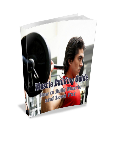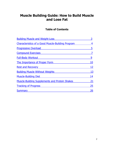## **Muscle Building Guide: How to Build Muscle and Lose Fat**

## **Table of Contents**

| <b>Building Muscle and Weight-Loss</b>                   | 3  |
|----------------------------------------------------------|----|
| <b>Characteristics of a Good Muscle-Building Program</b> | 4  |
| <b>Progressive Overload</b>                              | 5  |
| <b>Compound Exercises</b>                                |    |
| <b>Full-Body Workout</b>                                 | 9  |
| <b>The Importance of Proper Form</b>                     | 10 |
| <b>Rest and Recovery</b>                                 | 12 |
| <b>Building Muscle Without Weights</b>                   | 13 |
| <b>Muscle-Building Diet</b>                              | 14 |
| <b>Muscle-Building Supplements and Protein Shakes</b>    | 21 |
| <b>Tracking of Progress</b>                              | 25 |
| <b>Summary</b>                                           | 26 |